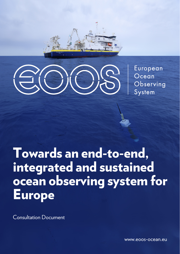



European Ocean Observing System

# Towards an end-to-end, integrated and sustained ocean observing system for Europe

Consultation Document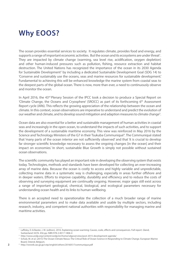# **Why EOOS?**

The ocean provides essential services to society. It regulates climate, provides food and energy, and supports a range of important economic activities. But the ocean and its ecosystems are under threat<sup>1</sup>. They are impacted by climate change (warming, sea level rise, acidification, oxygen depletion) and other human-induced pressures such as pollution, fishing, resource extraction and habitat destruction. The United Nations has recognized the importance of the ocean in its 2030 Agenda for Sustainable Development<sup>2</sup> by including a dedicated Sustainable Development Goal (SDG 14) to 'Conserve and sustainably use the oceans, seas and marine resources for sustainable development.' Fundamental to achieving this will be enhanced knowledge the marine system from coastal seas to the deepest parts of the global ocean. There is now, more than ever, a need to continuously observe and monitor the ocean.

In April 2016, the 43<sup>rd</sup> Plenary Session of the IPCC took a decision to produce a Special Report on 'Climate Change, the Oceans and Cryosphere' (SROCC) as part of its forthcoming 6th Assessment Report cycle (AR6). This reflects the growing appreciation of the relationship between the ocean and climate. In this context, ocean observations are imperative to understand and predict the evolution of our weather and climate, and to develop sound mitigation and adaption measures to climate change<sup>3</sup>.

Ocean data are also essential for a better and sustainable management of human activities in coastal seas and increasingly in the open ocean, to understand the impacts of such activities, and to support the development of a sustainable maritime economy. This view was reinforced in May 2016 by the Science and Technology Ministers of the G7 in their Tsukuba Communiqué<sup>4</sup>. The Communiqué stated that 'many parts of the ocean interior are not sufficiently observed' and that 'it is crucial to develop far stronger scientific knowledge necessary to assess the ongoing changes [in the ocean] and their impact on economies.' In short, sustainable Blue Growth is simply not possible without sustained ocean observations.

The scientific community has played an important role in developing the observing system that exists today. Technologies, methods and standards have been developed for collecting an ever-increasing array of marine data. Because the ocean is costly to access and highly variable and unpredictable, collecting marine data in a systematic way is challenging, especially in areas further offshore and in deeper waters. Efforts to improve capability, durability and efficiency and to reduce the costs of observing and surveying equipment are continually ongoing. However, major gaps still exist across a range of important geological, chemical, biological, and ecological parameters necessary for understanding ocean health and its links to human wellbeing.

There is an accepted need to operationalize the collection of a much broader range of marine environmental parameters and to make data available and usable by multiple sectors, including research, industry, and competent national authorities with responsibility for managing marine and maritime activities.

<sup>&</sup>lt;sup>1</sup> Laffoley, D. & Baxter, J. M. (editors). 2016. Explaining ocean warming: Causes, scale, effects and consequences. Full report. Gland, Switzerland: IUCN. 456 pp. ISBN 978-2-8317-1806-4

<sup>2</sup> http://www.undp.org/content/undp/en/home/sdgoverview/post-2015-development-agenda/

<sup>&</sup>lt;sup>3</sup> Schulz, M. et al. (2015) The Ocean-Climate Nexus: The Critical Role of Ocean Science in Responding to Climate Change. European Marine Board, Ostend, Belgium.

**<sup>2</sup> 3** <sup>4</sup> http://www8.cao.go.jp/cstp/english/others/20160517communique.pdf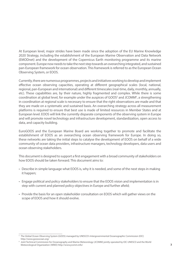At European level, major strides have been made since the adoption of the EU Marine Knowledge 2020 Strategy, including the establishment of the European Marine Observation and Data Network (EMODnet) and the development of the Copernicus Earth monitoring programme and its marine component. Europe now needs to take the next step towards an overarching integrated, and sustained pan-European framework for ocean observation. This framework is referred to as the European Ocean Observing System, or EOOS.

Currently, there are numerous programmes, projects and initiatives working to develop and implement effective ocean observing capacities, operating at different geographical scales (local, national, regional, pan-European and international) and different timescales (real-time, daily, monthly, annually, etc). These capabilities are, by their nature, highly fragmented and complex. While there is some coordination at global level, for example under the auspices of GOOS<sup>5</sup> and JCOMM<sup>6</sup>, a strengthening in coordination at regional scale is necessary to ensure that the right observations are made and that they are made on a systematic and sustained basis. An overarching strategy across all measurement platforms is required to ensure that best use is made of limited resources in Member States and at European level. EOOS will link the currently disparate components of the observing system in Europe and will promote novel technology and infrastructure development, standardization, open access to data, and capacity building.

EuroGOOS and the European Marine Board are working together to promote and facilitate the establishment of EOOS as an overarching ocean observing framework for Europe. In doing so, these networks are taking the initial steps to catalyse the development of EOOS on behalf of a wide community of ocean data providers, infrastructure managers, technology developers, data users and ocean observing stakeholders.

This document is designed to support a first engagement with a broad community of stakeholders on how EOOS should be taken forward. This document aims to:

- Describe in simple language what EOOS is, why it is needed, and some of the next steps in making it happen;
- Engage political and policy stakeholders to ensure that the EOOS vision and implementation is in step with current and planned policy objectives in Europe and further afield;
- Provide the basis for an open stakeholder consultation on EOOS which will gather views on the scope of EOOS and how it should evolve.

<sup>5</sup> The Global Ocean Observing System (GOOS) managed by UNESCO's Intergovernmental Oceanographic Commission (IOC) http://www.goosocean.org/

**<sup>2</sup> 3** Meteorological Organization (WMO) http://www.jcomm.info/ <sup>6</sup> Joint Technical Commission for Oceanography and Marine Meteorology (JCOMM) jointly operated by IOC-UNESCO and the World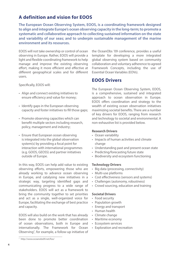# **A definition and vision for EOOS**

**The European Ocean Observing System, EOOS, is a coordinating framework designed to align and integrate Europe's ocean observing capacity in the long-term; to promote a systematic and collaborative approach to collecting sustained information on the state and variability of our seas; and to underpin sustainable management of the marine environment and its resources.**

EOOS will not take ownership or control of ocean observing in Europe. Rather, EOOS will provide a light and flexible coordinating framework to help manage and improve the existing observing effort, making it more efficient and effective at different geographical scales and for different users.

Specifically, EOOS will:

- Align and connect existing initiatives to ensure efficiency and value for money;
- Identify gaps in the European observing capacity and foster initiatives to fill those gaps;
- Promote observing capacities which can benefit multiple sectors including research, policy, management and industry;
- Ensure that European ocean observing is integrated into the global observation system(s) by providing a focal point for interaction with international programmes (e.g. GOOS, GEOSS) and partner initiatives outside of Europe.

In this way, EOOS can help add value to existing observing efforts, empowering those who are already working to advance ocean observing in Europe, and catalysing new initiatives in a strategic way, targeting identified gaps and communicating progress to a wide range of stakeholders. EOOS will act as a framework to bring the community together to set priorities and act as a single, well-organized voice for Europe, facilitating the exchange of best practice and capacity.

EOOS will also build on the work that has already been done to promote better coordination of ocean observations, both in Europe and internationally. The Framework for Ocean Observing<sup>7</sup>, for example, a follow-up initiative of the OceanObs '09 conference, provides a useful template for developing a more integrated global observing system based on community collaboration and voluntary adherence to agreed Framework Concepts, including the use of Essential Ocean Variables (EOVs).

#### **EOOS Drivers**

The European Ocean Observing System, EOOS, is a comprehensive, sustained and integrated approach to ocean observation in Europe. EOOS offers coordination and strategy to the wealth of existing ocean observation initiatives maximizing societal benefits. There are a number of key drivers for EOOS, ranging from research and technology to societal and environmental. A non-exhaustive list is provided below.

#### **Research Drivers**

- Ocean variability
- Impacts of human activities and climate change
- Understanding past and present ocean state
- Predicting/forecasting future state
- Biodiversity and ecosystem functioning

#### **Technology Drivers**

- Big data (processing, connectivity)
- Multi-use platforms
- Cost effectiveness (sensors and systems)
- Challenges (autonomy, robustness)
- Crowd sourcing, education and training

#### **Societal Drivers**

- Food security
- Population growth
- Energy and transport
- Human health
- Climate change
- Maritime economy
- Ecosystem services
- Exploration and recreation

<sup>7</sup> http://www.oceanobs09.net/foo/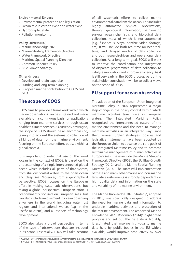#### **Environmental Drivers**

- Environmental protection and legislation
- Ocean role in carbon cycle and water cycle
- Hydrographic state
- Pollution monitoring

#### **Policy Drivers (EU)**

- Marine Knowledge 2020
- Marine Strategy Framework Directive
- Water Framework Directive
- Maritime Spatial Planning Directive
- Common Fisheries Policy
- Blue Growth Strategy

#### **Other drivers**

- Develop and retain expertise
- Funding and long-term planning
- European marine contribution to GOOS and GEO

#### **The scope of EOOS**

EOOS aims to provide a framework within which marine observations can be sustained and made available on a continuous basis for applications ranging from real-time services, through ocean health to climate services. As currently envisaged, the scope of EOOS should be all-encompassing, taking into account the systematic collection of all kinds of data from the marine environment, focusing on the European effort, but set within a global context.

It is important to note that use of the word 'ocean' in the context of EOOS, is based on the understanding of a single interconnected global ocean which includes all parts of that system, from shallow coastal waters to the open ocean and deep sea. Moreover, from a geographical perspective, EOOS focuses on the European effort in making systematic observations, but taking a global perspective. European effort is predominantly focused on European seas, but can also include involvement in ocean observing anywhere in the world including outermost regions and international waters (e.g. in the Pacific or Arctic), and all aspects of technology development.

EOOS also takes a broad perspective in terms of the type of observations that are included in its scope. Essentially, EOOS will take account of all systematic efforts to collect marine environmental data from the ocean. This includes highly automated physical observations, through geological information, bathymetric surveys, ocean chemistry, and biological data collection, most of which is not automated (e.g. fisheries surveys, benthic video footage, etc). It will include both real-time (or near realtime) and delayed modes of data collection and both research-driven and operational data collection. As a long-term goal, EOOS will work to improve the coordination and integration of disparate programmes of data collection to catalyse innovation and improve efficiency. As it is still very early in the EOOS process, part of the stakeholder consultation will be to collect views on the scope of EOOS.

#### **EU support for ocean observing**

The adoption of the European Union Integrated Maritime Policy in 2007 represented a major step-change in the policy context within which maritime activities take place in European waters. The Integrated Maritime Policy recognised the interconnected nature of the marine environment and the need to manage maritime activities in an integrated way. Since then, several further strategies, policies and legislative instruments have been adopted by the European Union to advance the core goals of the Integrated Maritime Policy and to promote sustainable management of human activities in Europe's seas. These include the Marine Strategy Framework Directive (2008), the EU Blue Growth Strategy (2012), and the Marine Spatial Planning Directive (2014). The successful implementation of these and many other marine and non-marine legislative instruments is strongly dependent on high quality data and information on the state and variability of the marine environment.

The Marine Knowledge 2020 Strategy<sup>8</sup>, adopted in 2010, was specifically designed to address the need for marine data and information to underpin maritime activities and protection of the marine environment. The associated Marine Knowledge 2020 Roadmap (2014)<sup>9</sup> highlighted progress and set out the next steps. Notably, it estimated that making high-quality marine data held by public bodies in the EU widely available, would improve productivity by over

<sup>8</sup> COM(2010) 461 final http://ec.europa.eu/maritimeaffairs/policy/marine\_knowledge\_2020/index\_en.htm

<sup>9</sup> SWD(2014) 149 final http://eur-lex.europa.eu/legal-content/EN/TXT/?uri=CELEX%3A52014SC0149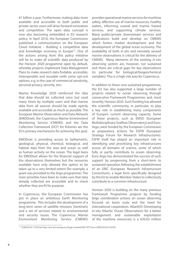€1 billion a year. Furthermore, making data more available and accessible to both public and private sector users will drive forward innovation and competition. The open data concept is now also becoming embedded in EU research policy. In April 2016, the European Commission published a communication on the European Cloud Initiative – Building a competitive data and knowledge economy in Europe<sup>10</sup>. One of the actions arising from this policy initiative will be to make all scientific data produced by the Horizon 2020 programme open by default, whereby projects implement Data Management Plans to make research data findable, accessible, interoperable and reusable (with some opt-out options, e.g. in the case of commercial sensitivity, personal privacy, security, etc).

Marine Knowledge 2020 reinforced the idea that data should be collected once but used many times by multiple users and that marine data from all sources should be made openly available and accessible as much as possible. The European Marine Observation and Data Network (EMODnet), the Copernicus Marine Environment Monitoring Service (CMEMS) and the Data Collection Framework (DCF) for fisheries are the EU's primary mechanisms for achieving this goal.

EMODnet is providing access to bathymetric, geological, physical, chemical, biological, and habitat data from the seas and ocean as well as human activity on the ocean. The legal basis for EMODnet allows for the financial support of the observations themselves but the resources available have only allowed this option to be taken up to a very limited extent (for example, a grant was provided to the Argo programme). The main priorities have been to make sure that data already collected are accessible and to check whether they are fit for purpose.

In Copernicus, the European Commission has put in place an ambitious Earth Monitoring programme. This includes the development of a long-term series of satellite missions (Sentinels) and a set of services related to environmental and security issues. The Copernicus Marine Environment Monitoring Service (CMEMS) provides operational marine services for maritime safety, effective use of marine resources, healthy waters, informing coastal and marine hazard services, and supporting climate services. Many public/private downstream services and applications build and develop on CMEMS which fosters market development and the development of the global ocean economy. The availability of both *in-situ* and remotely sensed marine observations is critical for the delivery of CMEMS. Many elements of the existing *in-situ* observing system are, however, not sustained and there are critical gaps for key observations (in particular for biological/biogeochemical variables). This is a high-risk area for Copernicus.

In addition to these core sustained programmes, the EU has also supported a large number of projects related to ocean observing through consecutive Framework Programmes and, most recently, Horizon 2020. Such funding has allowed the scientific community, in particular, to play a key role in establishing many components of Europe's current observing capacity. Some of these projects, such as EMSO (European Multidisciplinary Seafloor Observatory) and Euro-Argo, were funded by the European Commission as preparatory actions for ESFRI (European Strategy Forum for Research Infrastructures). ESFRI itself has played an important role in identifying and prioritising key infrastructures across all domains of science, some of which fully or partly contribute to ocean observing. Euro-Argo has demonstrated the success of such support by progressing from a short-term to sustained operation following the establishment of an ERIC (European Research Infrastructure Consortium), a legal form specifically designed by the EU to enable Member States to collectively contribute to a common infrastructure.

Horizon 2020 is building on the many previous Framework Programme projects by funding large coordination actions on ocean observing focused on basin scale and the need for international cooperation. AtlantOS (Developing in-situ Atlantic Ocean Observations for a better management and sustainable exploitation of the maritime resources) is a  $\epsilon$ 20.65 million

<sup>10</sup> COM(2016) 178 final http://eur-lex.europa.eu/legal-content/EN/TXT/?uri=COM:2016:0178:FIN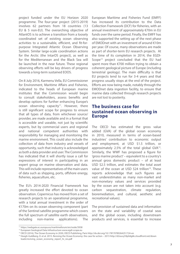project funded under the EU Horizon 2020 programme. The four-year project (2015-2019) involves 62 partners from 18 countries (13 EU & 5 non-EU). The overarching objective of AtlantOS is to achieve a transition from a loosely coordinated set of existing ocean observing activities to a sustainable, efficient, and fit-forpurpose Integrated Atlantic Ocean Observing System. Similar large-scale coordination actions for the Arctic (the IntarOS project), as well as for the Mediterranean and the Black Sea will be launched in the near future. These regional observing efforts will be key drivers of progress towards a long-term sustained EOOS.

On 8 July 2016, Karmenu Vella, EU Commissioner for Environment, Maritime Affairs and Fisheries, indicated to the heads of European marine institutes that the Commission would begin to consult stakeholders, assess benefits and develop options for further enhancing Europe's ocean observing capacity $11$ . However, there is still significant scope for progress to ensure that all types of data, from whichever source/ provider, are made available and in a format that is accessible and useable, not just by scientific experts, but by commercial users and regional and national competent authorities with responsibility for managing and monitoring the marine environment. This could also include the collection of data from industry and vessels of opportunity, such that industry is acknowledged as both a data provider and user. The Commission has indicated that it will shortly issue a call for expressions of interest in participating in an expert group on marine observation and data. This will include representatives of the main users of data such as shipping, ports, offshore energy, fisheries, aquaculture, etc.

The EU's 2014-2020 Financial Framework has greatly increased the effort devoted to ocean observation. Copernicus has moved from a set of research projects to an operational programme, with a total annual investment in the order of €170m on its ocean observing component (part of the Sentinel satellite programme which covers the full spectrum of satellite earth observations, including non-marine applications). The

European Maritime and Fisheries Fund (EMFF) has increased its contribution to the Data Collection Framework (DCF) for fisheries, with an annual investment of approximately €70m in EU funds over the same period. Finally, the EMFF has also supported the setting up of the next phase of EMODnet with an investment of around €10m per year. Of course, many observations are made as part of shorter-term EU research projects. At the time of its completion in 2014, the EGDI-Scope<sup>12</sup> project concluded that the EU had spent more than €700 million trying to obtain a coherent geological picture of Europe (including terrestrial geology). The main difficulty is that EU projects tend to run for 3-4 years and that progress usually stops at the end of the project. Efforts are now being made, notably through the EMODnet data ingestion facility, to ensure that marine data collected through research projects are not lost to posterity.

# **The business case for sustained ocean observing in Europe**

The OECD has estimated the gross value added (GVA) of the global ocean economy in 2010, measured in terms of ocean-based industries' contribution to economic output and employment, at USD \$1.5 trillion, or approximately 2.5% of the total global GVA<sup>13</sup>. Similarly, the WWF has proposed a figure for 'gross marine product' – equivalent to a country's annual gross domestic product – of at least USD \$2.5 trillion, and estimates the total asset value of the ocean at USD \$24 trillion<sup>14</sup>. These reports acknowledge that such figures are vast underestimates as many non-market and non-monetary values and services provided by the ocean are not taken into account (e.g. carbon sequestration, climate regulation, bioremediation, and cultural, aesthetic and recreational values).

The provision of sustained data and information on the state and variability of coastal seas and the global ocean, including downstream products and services, is essential to increase

<sup>11</sup> https://webgate.ec.europa.eu/maritimeforum/en/node/3938

<sup>&</sup>lt;sup>12</sup> European Geological Data Infrastructure www.egdi-scope.eu

<sup>&</sup>lt;sup>13</sup> OECD (2016), The Ocean Economy in 2030, OECD Publishing, Paris http://dx.doi.org/10.1787/9789264251724-en

<sup>14</sup> Hoegh-Guldberg, O. et al. 2015. Reviving the Ocean Economy: the case for action – 2015 http://d2ouvy59p0dg6k.cloudfront.net/down loads/reviving\_ocean\_economy\_report\_hi\_res.pdf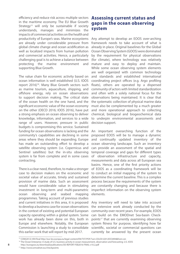efficiency and reduce risk across multiple sectors in the maritime economy. The EU Blue Growth Strategy<sup>15</sup> will only be sustainable if society understands, manages and minimizes the impacts of commercial activities on the health and productivity of Europe's seas. Marine ecosystems are already under considerable pressure from global climate change and ocean acidification as well as localized impacts from human pollution and commercial activities. Hence, a particularly challenging goal is to achieve a balance between protecting the marine environment and supporting Blue Growth.

The value chain for economic activity based on ocean information is well established (U.S. IOOS report 2016)<sup>16</sup>. Many Blue Growth sectors such as marine tourism, aquaculture, shipping, and offshore energy, rely on ocean observations to support decision making. The critical state of the ocean health on the one hand, and the significant economic value of the ocean economy on the other (OECD 2016; IOOS 2016), have put a strong emphasis on ocean observing to deliver knowledge, information, and services to a wide range of users. However, pressure in public budgets is compromising this service. Sustained funding for ocean observations is lacking and the community's capabilities are declining in some areas where they should be expanding. Europe has made an outstanding effort to develop a satellite observing system (i.e. Copernicus and Sentinel satellites) but the in-situ observing system is far from complete and in some cases contracting.

There is a clear need, therefore, to make a stronger case to decision makers on the economic and societal value of accurate, timely and sustained provision of marine data. Such an assessment would have considerable value in stimulating investment in long-term and multi-parametric ocean observing and seabed mapping programmes. Taking account of previous studies and current initiatives in this area, it is proposed to develop a business case for ocean observations in the context of existing and potential European capacity operating within a global system. Some work has already been done on this, both in Europe and elsewhere. Notably, the European Commission is launching a study to consolidate this earlier work that will report by mid-2017.

### **Assessing current status and gaps in the ocean observing system**

Any attempt to develop an EOOS over-arching framework needs to take account of what is already in place. Original baselines for the Global Ocean Observing System (GOOS) were dominated by the requirement for physical observations (for climate), where technology was relatively mature and easy to deploy and maintain. While some ocean observing system elements are well organized with common technology and standards and established international coordinating project offices (e.g. Argo profiling floats), others are operated by a dispersed community of actors with limited standardization and often with a solely national focus for the observations being maintained. It is clear that the systematic collection of physical marine data must also be complemented by a much greater and more operational approach to collecting chemical, biological and biogeochemical data to underpin environmental assessments and decision support.

An important overarching function of the proposed EOOS will be to manage a dynamic and continually updated inventory of the ocean observing landscape. Such an inventory can provide an assessment of the spatial and temporal coverage and gaps for different types of observation infrastructure and capacity, measurements and data across all European sea basins. Hence, one of the first priority actions of EOOS as a coordinating framework will be to conduct an initial mapping of the system to determine the current baseline. This is a complex process because the requirements of the system are constantly changing and because there is imperfect information on the observing system elements.

Any inventory will need to take into account the extensive work already conducted by the community over recent years. For example, EOOS can build on the EMODnet Sea-basin Checkpoints17 that are currently examining observing system fitness for purpose, identifying how far scientific, societal or commercial questions can currently be answered by the present ocean

<sup>15</sup> COM(2012) 494 final http://eur-lex.europa.eu/legal-content/EN/TXT/PDF/?uri=CELEX:52012DC0494&from=en

<sup>&</sup>lt;sup>16</sup> The Ocean Enterprise: A study of U.S. business activity in ocean measurement, observation and forecasting. U.S. IOOS

**<sup>8</sup> 9** http://eurogoos.eu/download/publications/OE-REPORT-FEB2016-FINAL-v10.2.pdf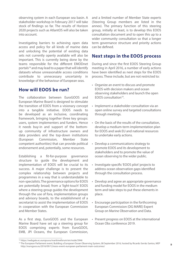observing system in each European sea basin. A stakeholder workshop in February 2017 will take stock of findings so far. The results of Horizon 2020 projects such as AtlantOS will also be taken into account.

Investigating barriers to achieving open data access and policy for all kinds of marine data and unlocking the potential of existing data sets not currently openly available will also be important. This is currently being done by the teams responsible for the different EMODnet portals<sup>18</sup> and may lead to a paper that will identify datasets whose unreasonable access conditions contribute to unnecessary uncertainty in knowledge of the behaviour of European seas.

## **How will EOOS be run?**

The collaboration between EuroGOOS and European Marine Board is designed to stimulate the transition of EOOS from a visionary concept into a tangible initiative. EOOS needs to be developed as an inclusive, coordinating framework, bringing together three key groups: users, system implementers and funders. Hence it needs buy-in and support of the bottomup community of infrastructure owners and data providers and the top-down institutions (European Commission, Member State competent authorities) that can provide political endorsement and, potentially, some resources.

Establishing a fit-for-purpose governance structure to guide the development and implementation of EOOS will be crucial to its success. A major challenge is to present the complex relationship between projects and programmes in a way that is understandable to non-specialists. The governance options for EOOS are potentially broad; from a 'light-touch' EOOS where a steering group guides the development through the use of fora, implementation groups and advisory boards, to the establishment of a secretariat to assist the implementation of EOOS in cooperation with the European Commission and Member States.

As a first step, EuroGOOS and the European Marine Board have set up a steering group for EOOS comprising experts from EuroGOOS, EMB, JPI Oceans, the European Commission, and a limited number of Member State experts (Steering Group members are listed in the annex). The primary function of this steering group, initially at least, is to develop this EOOS consultation document and to open this up to a wider community consultation so that a longer term governance structure and priority actions can be defined.

### **Next steps in the EOOS process**

During and since the first EOOS Steering Group meeting in April 2016, a number of early actions have been identified as next steps for the EOOS process. These include, but are not restricted to:

- Organize an event to discuss and promote EOOS with decision makers and ocean observing stakeholders and launch the open EOOS consultation19.
- Implement a stakeholder consultation via an open online survey and targeted consultations through meetings.
- On the basis of the results of the consultation, develop a medium-term implementation plan for EOOS and seek EU and national resources to undertake early actions.
- Develop a communications strategy to promote EOOS and its development to stakeholders and to promote the value of ocean observing to the wider public.
- Investigate specific 'EOOS pilot' projects to address ocean observation gaps identified through the consultation process.
- Develop and agree an appropriate governance and funding model for EOOS in the medium term and take steps to put these elements in place.
- Encourage participation in the forthcoming European Commission (DG MARE) Expert Group on Marine Observation and Data.
- Present progress on EOOS at the international Ocean Obs conference 2019.

<sup>18</sup> https://webgate.ec.europa.eu/maritimeforum/en/node/3946

**<sup>8</sup> 9** <sup>19</sup> The European Parliament event, Building a European Ocean Observing System, 08 September 2016, hosted by Ricardo Serrão Santos, MEP http://eurogoos.eu/2016/09/12/eoos-event-european-parliament-main-outcomes/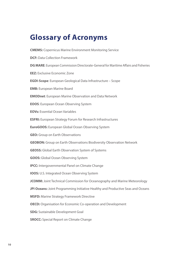# **Glossary of Acronyms**

**CMEMS:** Copernicus Marine Environment Monitoring Service **DCF:** Data Collection Framework **DG MARE**: European Commission Directorate-General for Maritime Affairs and Fisheries **EEZ:** Exclusive Economic Zone **EGDI-Scope**: European Geological Data Infrastructure – Scope **EMB:** European Marine Board **EMODnet**: European Marine Observation and Data Network **EOOS**: European Ocean Observing System **EOVs:** Essential Ocean Variables **ESFRI:** European Strategy Forum for Research Infrastructures **EuroGOOS:** European Global Ocean Observing System **GEO:** Group on Earth Observations **GEOBON:** Group on Earth Observations Biodiversity Observation Network **GEOSS:** Global Earth Observation System of Systems **GOOS:** Global Ocean Observing System **IPCC:** Intergovernmental Panel on Climate Change **IOOS:** U.S. Integrated Ocean Observing System **JCOMM:** Joint Technical Commission for Oceanography and Marine Meteorology **JPI Oceans:** Joint Programming Initiative Healthy and Productive Seas and Oceans **MSFD:** Marine Strategy Framework Directive **OECD:** Organisation for Economic Co-operation and Development **SDG:** Sustainable Development Goal **SROCC:** Special Report on Climate Change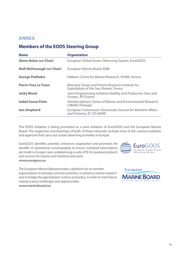### **ANNEX**

# **Members of the EOOS Steering Group**

| <b>Name</b>                       | <b>Organization</b>                                                                          |
|-----------------------------------|----------------------------------------------------------------------------------------------|
| <b>Glenn Nolan (co-Chair)</b>     | European Global Ocean Observing System, EuroGOOS                                             |
| <b>Niall McDonough (co-Chair)</b> | European Marine Board, EMB                                                                   |
| <b>George Petihakis</b>           | Hellenic Centre for Marine Research, HCMR, Greece                                            |
| <b>Pierre-Yves Le Traon</b>       | Mercator Ocean and French Research Institute for<br>Exploitation of the Sea, Ifremer, France |
| <b>Jacky Wood</b>                 | Joint Programming Initiative Healthy and Productive Seas and<br>Oceans, JPI Oceans           |
| <b>Isabel Sousa Pinto</b>         | Interdisciplinary Centre of Marine and Environmental Research,<br>CIIMAR, Portugal           |
| <b>lain Shepherd</b>              | European Commission Directorate General for Maritime Affairs<br>and Fisheries, EC DG MARE    |

The EOOS initiative is being promoted as a joint initiative of EuroGOOS and the European Marine Board. The respective memberships of both of these networks include most of the science institutes and agencies that carry out ocean observing activities in Europe.

*EuroGOOS identifies priorities, enhances cooperation and promotes the benefits of operational oceanography to ensure sustained observations are made in Europe's seas underpinning a suite of fit-for-purpose products and services for marine and maritime end-users.*  **www.eurogoos.eu** 



*The European Marine Board provides a platform for its member organizations to develop common priorities, to advance marine research and to bridge the gap between science and policy, in order to meet future marine science challenges and opportunities*  **www.marineboard.eu**